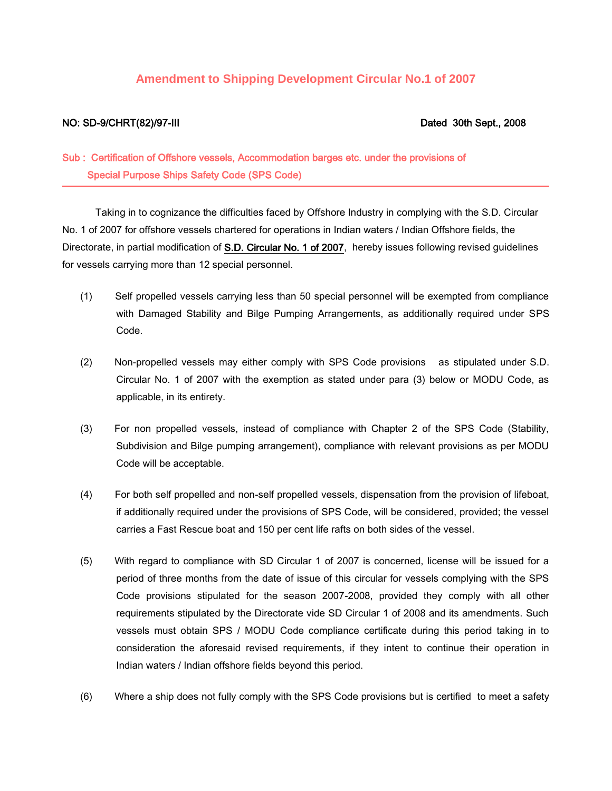## **Amendment to Shipping Development Circular No.1 of 2007**

## NO: SD-9/CHRT(82)/97-III Dated 30th Sept., 2008

## Sub : Certification of Offshore vessels, Accommodation barges etc. under the provisions of Special Purpose Ships Safety Code (SPS Code)

 Taking in to cognizance the difficulties faced by Offshore Industry in complying with the S.D. Circular No. 1 of 2007 for offshore vessels chartered for operations in Indian waters / Indian Offshore fields, the Directorate, in partial modification of S.D. Circular No. 1 of 2007, hereby issues following revised guidelines for vessels carrying more than 12 special personnel.

- (1) Self propelled vessels carrying less than 50 special personnel will be exempted from compliance with Damaged Stability and Bilge Pumping Arrangements, as additionally required under SPS Code.
- (2) Non-propelled vessels may either comply with SPS Code provisions as stipulated under S.D. Circular No. 1 of 2007 with the exemption as stated under para (3) below or MODU Code, as applicable, in its entirety.
- (3) For non propelled vessels, instead of compliance with Chapter 2 of the SPS Code (Stability, Subdivision and Bilge pumping arrangement), compliance with relevant provisions as per MODU Code will be acceptable.
- (4) For both self propelled and non-self propelled vessels, dispensation from the provision of lifeboat, if additionally required under the provisions of SPS Code, will be considered, provided; the vessel carries a Fast Rescue boat and 150 per cent life rafts on both sides of the vessel.
- (5) With regard to compliance with SD Circular 1 of 2007 is concerned, license will be issued for a period of three months from the date of issue of this circular for vessels complying with the SPS Code provisions stipulated for the season 2007-2008, provided they comply with all other requirements stipulated by the Directorate vide SD Circular 1 of 2008 and its amendments. Such vessels must obtain SPS / MODU Code compliance certificate during this period taking in to consideration the aforesaid revised requirements, if they intent to continue their operation in Indian waters / Indian offshore fields beyond this period.
- (6) Where a ship does not fully comply with the SPS Code provisions but is certified to meet a safety